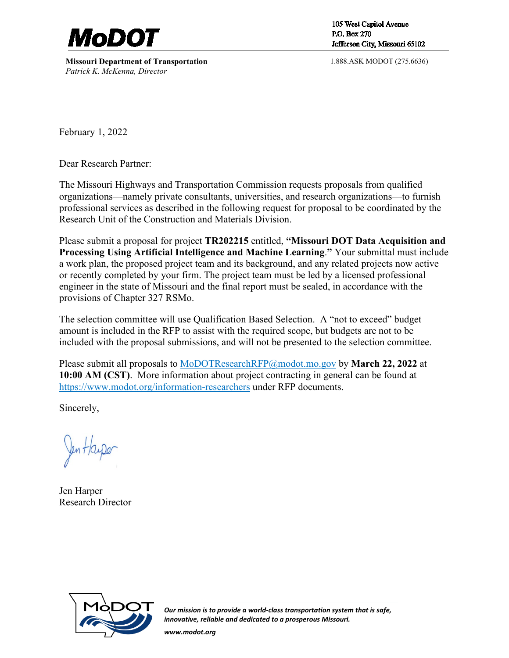

**Missouri Department of Transportation** *Patrick K. McKenna, Director*

105 West Capitol Avenue P.O. Box 270 Jefferson City, Missouri 65102

1.888.ASK MODOT (275.6636)

February 1, 2022

Dear Research Partner:

The Missouri Highways and Transportation Commission requests proposals from qualified organizations—namely private consultants, universities, and research organizations—to furnish professional services as described in the following request for proposal to be coordinated by the Research Unit of the Construction and Materials Division.

Please submit a proposal for project **TR202215** entitled, **"Missouri DOT Data Acquisition and Processing Using Artificial Intelligence and Machine Learning**.**"** Your submittal must include a work plan, the proposed project team and its background, and any related projects now active or recently completed by your firm. The project team must be led by a licensed professional engineer in the state of Missouri and the final report must be sealed, in accordance with the provisions of Chapter 327 RSMo.

The selection committee will use Qualification Based Selection. A "not to exceed" budget amount is included in the RFP to assist with the required scope, but budgets are not to be included with the proposal submissions, and will not be presented to the selection committee.

Please submit all proposals to [MoDOTResearchRFP@modot.mo.gov](mailto:MoDOTResearchRFP@modot.mo.gov) by **March 22, 2022** at **10:00 AM (CST)**. More information about project contracting in general can be found at <https://www.modot.org/information-researchers>under RFP documents.

Sincerely,

Jen Harper Research Director



*Our mission is to provide a world-class transportation system that is safe, innovative, reliable and dedicated to a prosperous Missouri.*

*www.modot.org*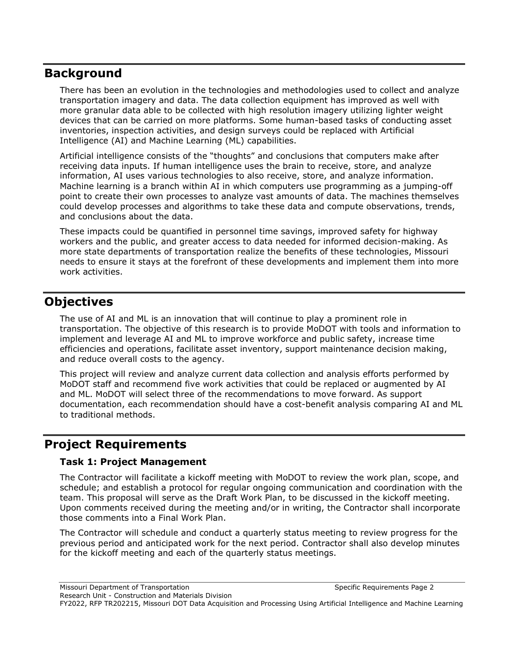### **Background**

There has been an evolution in the technologies and methodologies used to collect and analyze transportation imagery and data. The data collection equipment has improved as well with more granular data able to be collected with high resolution imagery utilizing lighter weight devices that can be carried on more platforms. Some human-based tasks of conducting asset inventories, inspection activities, and design surveys could be replaced with Artificial Intelligence (AI) and Machine Learning (ML) capabilities.

Artificial intelligence consists of the "thoughts" and conclusions that computers make after receiving data inputs. If human intelligence uses the brain to receive, store, and analyze information, AI uses various technologies to also receive, store, and analyze information. Machine learning is a branch within AI in which computers use programming as a jumping-off point to create their own processes to analyze vast amounts of data. The machines themselves could develop processes and algorithms to take these data and compute observations, trends, and conclusions about the data.

These impacts could be quantified in personnel time savings, improved safety for highway workers and the public, and greater access to data needed for informed decision-making. As more state departments of transportation realize the benefits of these technologies, Missouri needs to ensure it stays at the forefront of these developments and implement them into more work activities.

# **Objectives**

The use of AI and ML is an innovation that will continue to play a prominent role in transportation. The objective of this research is to provide MoDOT with tools and information to implement and leverage AI and ML to improve workforce and public safety, increase time efficiencies and operations, facilitate asset inventory, support maintenance decision making, and reduce overall costs to the agency.

This project will review and analyze current data collection and analysis efforts performed by MoDOT staff and recommend five work activities that could be replaced or augmented by AI and ML. MoDOT will select three of the recommendations to move forward. As support documentation, each recommendation should have a cost-benefit analysis comparing AI and ML to traditional methods.

# **Project Requirements**

#### **Task 1: Project Management**

The Contractor will facilitate a kickoff meeting with MoDOT to review the work plan, scope, and schedule; and establish a protocol for regular ongoing communication and coordination with the team. This proposal will serve as the Draft Work Plan, to be discussed in the kickoff meeting. Upon comments received during the meeting and/or in writing, the Contractor shall incorporate those comments into a Final Work Plan.

The Contractor will schedule and conduct a quarterly status meeting to review progress for the previous period and anticipated work for the next period. Contractor shall also develop minutes for the kickoff meeting and each of the quarterly status meetings.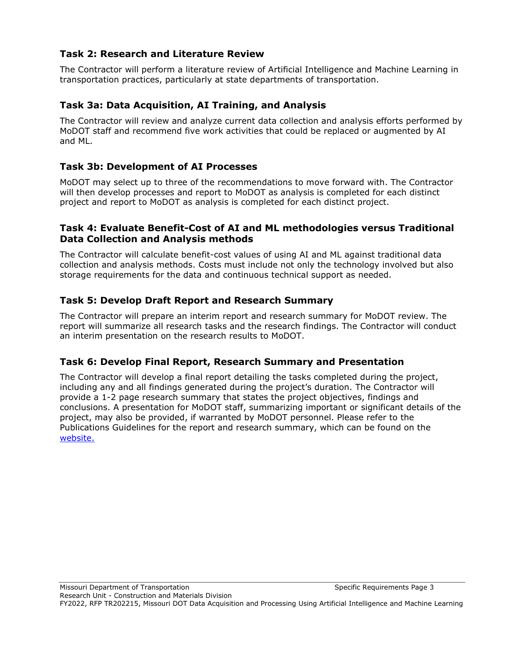### **Task 2: Research and Literature Review**

The Contractor will perform a literature review of Artificial Intelligence and Machine Learning in transportation practices, particularly at state departments of transportation.

### **Task 3a: Data Acquisition, AI Training, and Analysis**

The Contractor will review and analyze current data collection and analysis efforts performed by MoDOT staff and recommend five work activities that could be replaced or augmented by AI and ML.

### **Task 3b: Development of AI Processes**

MoDOT may select up to three of the recommendations to move forward with. The Contractor will then develop processes and report to MoDOT as analysis is completed for each distinct project and report to MoDOT as analysis is completed for each distinct project.

#### **Task 4: Evaluate Benefit-Cost of AI and ML methodologies versus Traditional Data Collection and Analysis methods**

The Contractor will calculate benefit-cost values of using AI and ML against traditional data collection and analysis methods. Costs must include not only the technology involved but also storage requirements for the data and continuous technical support as needed.

### **Task 5: Develop Draft Report and Research Summary**

The Contractor will prepare an interim report and research summary for MoDOT review. The report will summarize all research tasks and the research findings. The Contractor will conduct an interim presentation on the research results to MoDOT.

#### **Task 6: Develop Final Report, Research Summary and Presentation**

The Contractor will develop a final report detailing the tasks completed during the project, including any and all findings generated during the project's duration. The Contractor will provide a 1-2 page research summary that states the project objectives, findings and conclusions. A presentation for MoDOT staff, summarizing important or significant details of the project, may also be provided, if warranted by MoDOT personnel. Please refer to the Publications Guidelines for the report and research summary, which can be found on the [website.](https://www.modot.org/information-researchers)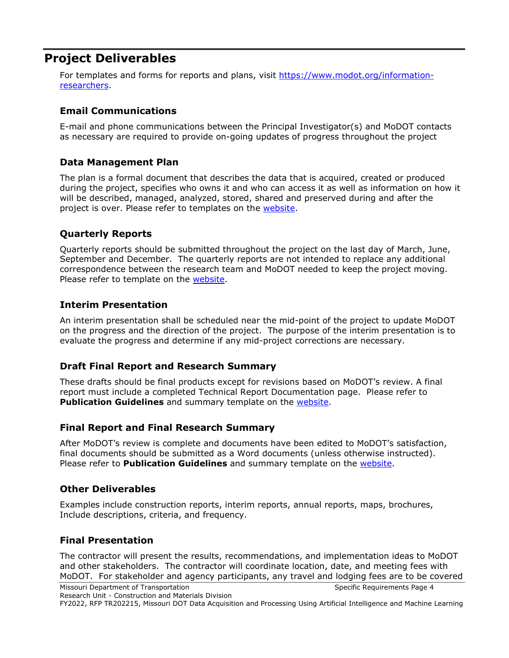# **Project Deliverables**

For templates and forms for reports and plans, visit [https://www.modot.org/information](https://www.modot.org/information-researchers)[researchers.](https://www.modot.org/information-researchers)

#### **Email Communications**

E-mail and phone communications between the Principal Investigator(s) and MoDOT contacts as necessary are required to provide on-going updates of progress throughout the project

#### **Data Management Plan**

The plan is a formal document that describes the data that is acquired, created or produced during the project, specifies who owns it and who can access it as well as information on how it will be described, managed, analyzed, stored, shared and preserved during and after the project is over. Please refer to templates on the [website.](https://www.modot.org/information-researchers)

#### **Quarterly Reports**

Quarterly reports should be submitted throughout the project on the last day of March, June, September and December. The quarterly reports are not intended to replace any additional correspondence between the research team and MoDOT needed to keep the project moving. Please refer to template on the [website.](https://www.modot.org/information-researchers)

#### **Interim Presentation**

An interim presentation shall be scheduled near the mid-point of the project to update MoDOT on the progress and the direction of the project. The purpose of the interim presentation is to evaluate the progress and determine if any mid-project corrections are necessary.

#### **Draft Final Report and Research Summary**

These drafts should be final products except for revisions based on MoDOT's review. A final report must include a completed Technical Report Documentation page. Please refer to **Publication Guidelines** and summary template on the **website**.

#### **Final Report and Final Research Summary**

After MoDOT's review is complete and documents have been edited to MoDOT's satisfaction, final documents should be submitted as a Word documents (unless otherwise instructed). Please refer to **Publication Guidelines** and summary template on the [website.](https://www.modot.org/information-researchers)

#### **Other Deliverables**

Examples include construction reports, interim reports, annual reports, maps, brochures, Include descriptions, criteria, and frequency.

#### **Final Presentation**

The contractor will present the results, recommendations, and implementation ideas to MoDOT and other stakeholders. The contractor will coordinate location, date, and meeting fees with MoDOT. For stakeholder and agency participants, any travel and lodging fees are to be covered

FY2022, RFP TR202215, Missouri DOT Data Acquisition and Processing Using Artificial Intelligence and Machine Learning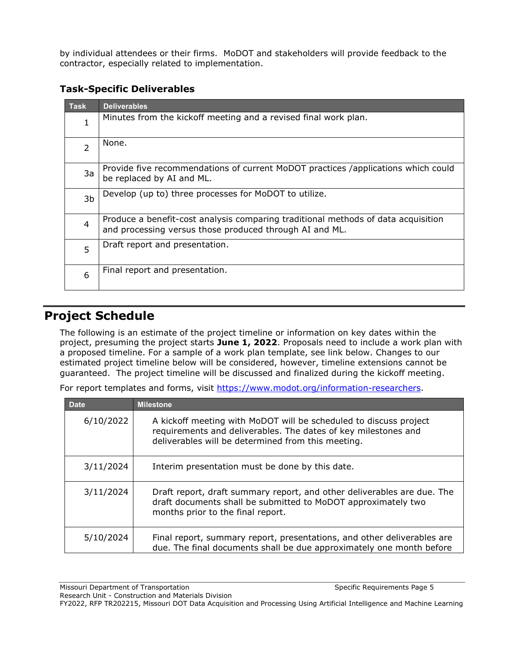by individual attendees or their firms. MoDOT and stakeholders will provide feedback to the contractor, especially related to implementation.

### **Task-Specific Deliverables**

| <b>Task</b>    | <b>Deliverables</b>                                                                                                                          |
|----------------|----------------------------------------------------------------------------------------------------------------------------------------------|
| 1              | Minutes from the kickoff meeting and a revised final work plan.                                                                              |
| $\overline{2}$ | None.                                                                                                                                        |
| 3a             | Provide five recommendations of current MoDOT practices /applications which could<br>be replaced by AI and ML.                               |
| 3b             | Develop (up to) three processes for MoDOT to utilize.                                                                                        |
| $\overline{4}$ | Produce a benefit-cost analysis comparing traditional methods of data acquisition<br>and processing versus those produced through AI and ML. |
| 5              | Draft report and presentation.                                                                                                               |
| 6              | Final report and presentation.                                                                                                               |

# **Project Schedule**

The following is an estimate of the project timeline or information on key dates within the project, presuming the project starts **June 1, 2022**. Proposals need to include a work plan with a proposed timeline. For a sample of a work plan template, see link below. Changes to our estimated project timeline below will be considered, however, timeline extensions cannot be guaranteed. The project timeline will be discussed and finalized during the kickoff meeting.

For report templates and forms, visit [https://www.modot.org/information-researchers.](https://www.modot.org/information-researchers)

| <b>Date</b> | <b>Milestone</b>                                                                                                                                                                          |
|-------------|-------------------------------------------------------------------------------------------------------------------------------------------------------------------------------------------|
| 6/10/2022   | A kickoff meeting with MoDOT will be scheduled to discuss project<br>requirements and deliverables. The dates of key milestones and<br>deliverables will be determined from this meeting. |
| 3/11/2024   | Interim presentation must be done by this date.                                                                                                                                           |
| 3/11/2024   | Draft report, draft summary report, and other deliverables are due. The<br>draft documents shall be submitted to MoDOT approximately two<br>months prior to the final report.             |
| 5/10/2024   | Final report, summary report, presentations, and other deliverables are<br>due. The final documents shall be due approximately one month before                                           |

FY2022, RFP TR202215, Missouri DOT Data Acquisition and Processing Using Artificial Intelligence and Machine Learning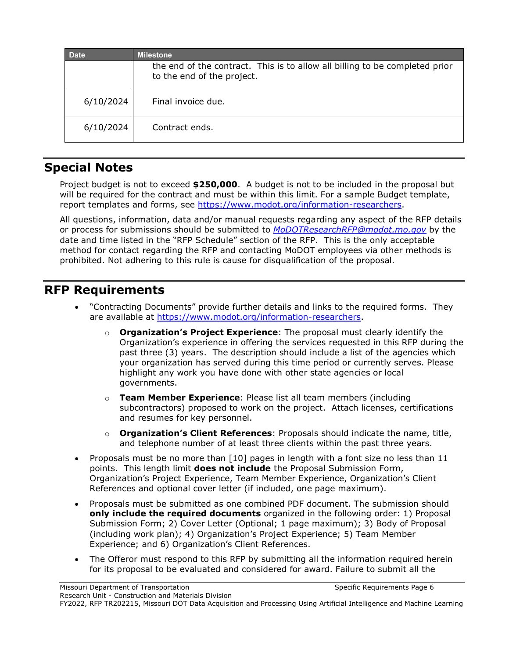| <b>Date</b> | <b>Milestone</b>                                                                                          |
|-------------|-----------------------------------------------------------------------------------------------------------|
|             | the end of the contract. This is to allow all billing to be completed prior<br>to the end of the project. |
| 6/10/2024   | Final invoice due.                                                                                        |
| 6/10/2024   | Contract ends.                                                                                            |
|             |                                                                                                           |

# **Special Notes**

Project budget is not to exceed **\$250,000**. A budget is not to be included in the proposal but will be required for the contract and must be within this limit. For a sample Budget template, report templates and forms, see [https://www.modot.org/information-researchers.](https://www.modot.org/information-researchers)

All questions, information, data and/or manual requests regarding any aspect of the RFP details or process for submissions should be submitted to *[MoDOTResearchRFP@modot.mo.gov](mailto:MoDOTResearchRFP@modot.mo.gov)* by the date and time listed in the "RFP Schedule" section of the RFP. This is the only acceptable method for contact regarding the RFP and contacting MoDOT employees via other methods is prohibited. Not adhering to this rule is cause for disqualification of the proposal.

# **RFP Requirements**

- "Contracting Documents" provide further details and links to the required forms. They are available at [https://www.modot.org/information-researchers.](https://www.modot.org/information-researchers)
	- o **Organization's Project Experience**: The proposal must clearly identify the Organization's experience in offering the services requested in this RFP during the past three (3) years. The description should include a list of the agencies which your organization has served during this time period or currently serves. Please highlight any work you have done with other state agencies or local governments.
	- o **Team Member Experience**: Please list all team members (including subcontractors) proposed to work on the project. Attach licenses, certifications and resumes for key personnel.
	- o **Organization's Client References**: Proposals should indicate the name, title, and telephone number of at least three clients within the past three years.
- Proposals must be no more than [10] pages in length with a font size no less than 11 points. This length limit **does not include** the Proposal Submission Form, Organization's Project Experience, Team Member Experience, Organization's Client References and optional cover letter (if included, one page maximum).
- Proposals must be submitted as one combined PDF document. The submission should **only include the required documents** organized in the following order: 1) Proposal Submission Form; 2) Cover Letter (Optional; 1 page maximum); 3) Body of Proposal (including work plan); 4) Organization's Project Experience; 5) Team Member Experience; and 6) Organization's Client References.
- The Offeror must respond to this RFP by submitting all the information required herein for its proposal to be evaluated and considered for award. Failure to submit all the

FY2022, RFP TR202215, Missouri DOT Data Acquisition and Processing Using Artificial Intelligence and Machine Learning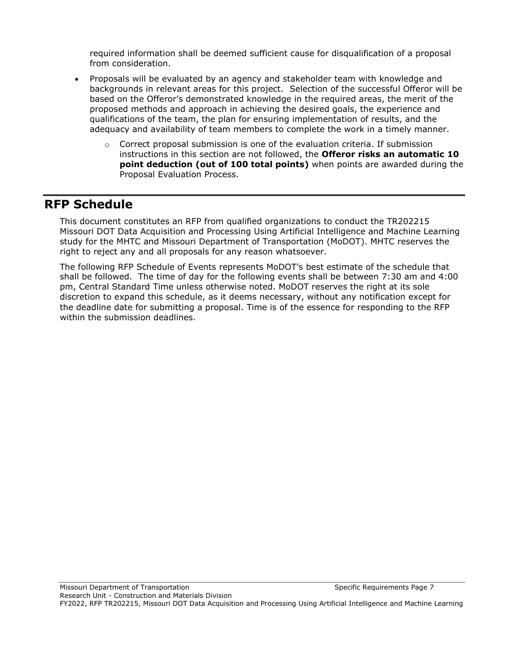required information shall be deemed sufficient cause for disqualification of a proposal from consideration.

- Proposals will be evaluated by an agency and stakeholder team with knowledge and backgrounds in relevant areas for this project. Selection of the successful Offeror will be based on the Offeror's demonstrated knowledge in the required areas, the merit of the proposed methods and approach in achieving the desired goals, the experience and qualifications of the team, the plan for ensuring implementation of results, and the adequacy and availability of team members to complete the work in a timely manner.
	- $\circ$  Correct proposal submission is one of the evaluation criteria. If submission instructions in this section are not followed, the **Offeror risks an automatic 10 point deduction (out of 100 total points)** when points are awarded during the Proposal Evaluation Process.

# **RFP Schedule**

This document constitutes an RFP from qualified organizations to conduct the TR202215 Missouri DOT Data Acquisition and Processing Using Artificial Intelligence and Machine Learning study for the MHTC and Missouri Department of Transportation (MoDOT). MHTC reserves the right to reject any and all proposals for any reason whatsoever.

The following RFP Schedule of Events represents MoDOT's best estimate of the schedule that shall be followed. The time of day for the following events shall be between 7:30 am and 4:00 pm, Central Standard Time unless otherwise noted. MoDOT reserves the right at its sole discretion to expand this schedule, as it deems necessary, without any notification except for the deadline date for submitting a proposal. Time is of the essence for responding to the RFP within the submission deadlines.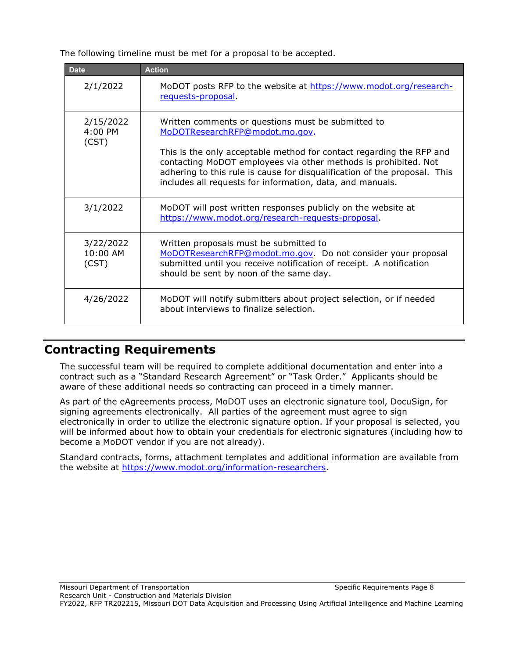The following timeline must be met for a proposal to be accepted.

| <b>Date</b>                    | <b>Action</b>                                                                                                                                                                                                                                                                     |
|--------------------------------|-----------------------------------------------------------------------------------------------------------------------------------------------------------------------------------------------------------------------------------------------------------------------------------|
| 2/1/2022                       | MoDOT posts RFP to the website at https://www.modot.org/research-<br>requests-proposal                                                                                                                                                                                            |
| 2/15/2022<br>4:00 PM<br>(CST)  | Written comments or questions must be submitted to<br>MoDOTResearchRFP@modot.mo.gov.                                                                                                                                                                                              |
|                                | This is the only acceptable method for contact regarding the RFP and<br>contacting MoDOT employees via other methods is prohibited. Not<br>adhering to this rule is cause for disqualification of the proposal. This<br>includes all requests for information, data, and manuals. |
| 3/1/2022                       | MoDOT will post written responses publicly on the website at<br>https://www.modot.org/research-requests-proposal.                                                                                                                                                                 |
| 3/22/2022<br>10:00 AM<br>(CST) | Written proposals must be submitted to<br>MoDOTResearchRFP@modot.mo.gov. Do not consider your proposal<br>submitted until you receive notification of receipt. A notification<br>should be sent by noon of the same day.                                                          |
| 4/26/2022                      | MoDOT will notify submitters about project selection, or if needed<br>about interviews to finalize selection.                                                                                                                                                                     |

### **Contracting Requirements**

The successful team will be required to complete additional documentation and enter into a contract such as a "Standard Research Agreement" or "Task Order." Applicants should be aware of these additional needs so contracting can proceed in a timely manner.

As part of the eAgreements process, MoDOT uses an electronic signature tool, DocuSign, for signing agreements electronically. All parties of the agreement must agree to sign electronically in order to utilize the electronic signature option. If your proposal is selected, you will be informed about how to obtain your credentials for electronic signatures (including how to become a MoDOT vendor if you are not already).

Standard contracts, forms, attachment templates and additional information are available from the website at [https://www.modot.org/information-researchers.](https://www.modot.org/information-researchers)